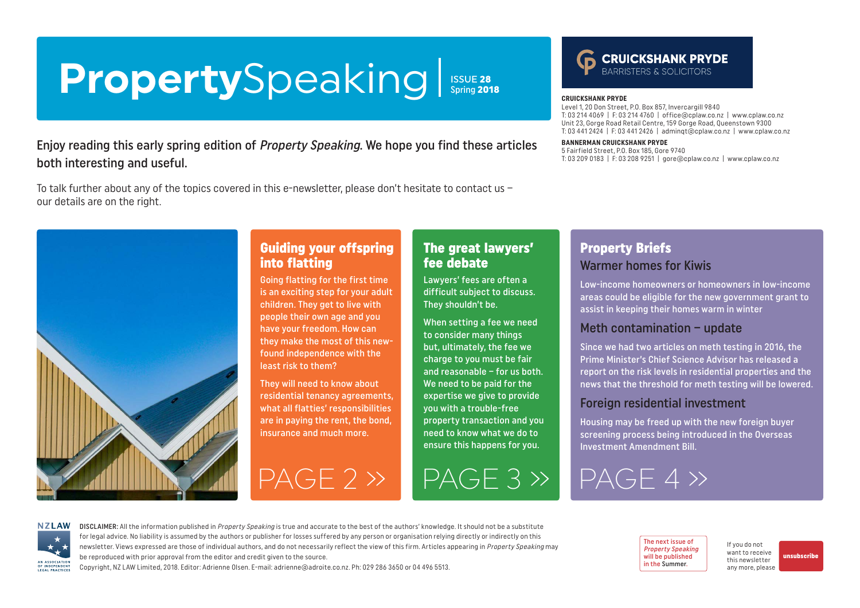# <span id="page-0-0"></span>PropertySpeaking | ISSUE 28

Enjoy reading this early spring edition of Property Speaking. We hope you find these articles both interesting and useful.

To talk further about any of the topics covered in this e-newsletter, please don't hesitate to contact us – our details are on the right.



# Guiding your offspring into flatting

Going flatting for the first time is an exciting step for your adult children. They get to live with people their own age and you have your freedom. How can they make the most of this newfound independence with the least risk to them?

They will need to know about residential tenancy agreements, what all flatties' responsibilities are in paying the rent, the bond, insurance and much more.

# The great lawyers' fee debate

Lawyers' fees are often a difficult subject to discuss. They shouldn't be.

When setting a fee we need to consider many things but, ultimately, the fee we charge to you must be fair and reasonable – for us both. We need to be paid for the expertise we give to provide you with a trouble-free property transaction and you need to know what we do to ensure this happens for you.

[PAGE 2 »](#page-1-0) [PAGE 3 »](#page-2-0) [PAGE 4 »](#page-3-0)

**CRUICKSHANK PRYDE** 

#### **CRUICKSHANK PRYDE**

Level 1, 20 Don Street, P.O. Box 857, Invercargill 9840 T: 03 214 4069 | F: 03 214 4760 | [office@cplaw.co.nz](mailto:office%40cplaw.co.nz?subject=) | www.cplaw.co.nz Unit 23, Gorge Road Retail Centre, 159 Gorge Road, Queenstown 9300 T: 03 441 2424 | F: 03 441 2426 | adminqt@cplaw.co.nz | www.cplaw.co.nz

#### **BANNERMAN CRUICKSHANK PRYDE**

5 Fairfield Street, P.O. Box 185, Gore 9740 T: 03 209 0183 | F: 03 208 9251 | gore@cplaw.co.nz | www.cplaw.co.nz

## Property Briefs Warmer homes for Kiwis

Low-income homeowners or homeowners in low-income areas could be eligible for the new government grant to assist in keeping their homes warm in winter

#### Meth contamination – update

Since we had two articles on meth testing in 2016, the Prime Minister's Chief Science Advisor has released a report on the risk levels in residential properties and the news that the threshold for meth testing will be lowered.

#### Foreign residential investment

The next issue of Property Speaking will be published in the Summer.

Housing may be freed up with the new foreign buyer screening process being introduced in the Overseas Investment Amendment Bill.

> If you do not want to receive this newsletter any more, please

[unsubscribe](mailto:adrienne%40adroite.co.nz?subject=Property%20Speaking%20-%20unsubscribe%20me%20please)



DISCLAIMER: All the information published in Property Speaking is true and accurate to the best of the authors' knowledge. It should not be a substitute for legal advice. No liability is assumed by the authors or publisher for losses suffered by any person or organisation relying directly or indirectly on this newsletter. Views expressed are those of individual authors, and do not necessarily reflect the view of this firm. Articles appearing in Property Speaking may be reproduced with prior approval from the editor and credit given to the source.

Copyright, NZ LAW Limited, 2018. Editor: Adrienne Olsen. [E-mail: adrienne@adroite.co.nz](mailto:adrienne@adroite.co.nz). Ph: 029 286 3650 or 04 496 5513.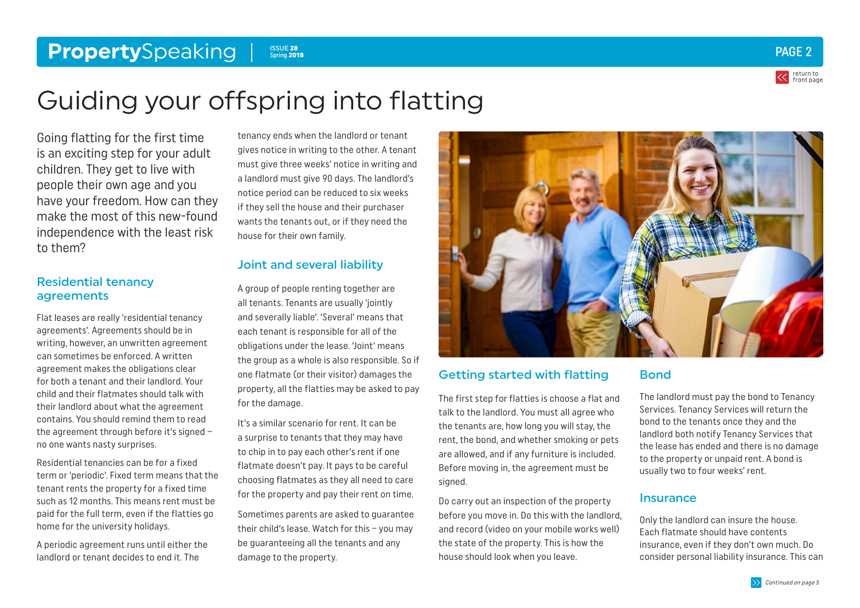#### <span id="page-1-0"></span>**Property**Speaking Structure of the second control of the second control of the second control of the second control of the second control of the second control of the second control of the second control of the second con Spring 2018



# Guiding your offspring into flatting

Going flatting for the first time is an exciting step for your adult children. They get to live with people their own age and you have your freedom. How can they make the most of this new-found independence with the least risk to them?

#### Residential tenancy agreements

Flat leases are really 'residential tenancy agreements'. Agreements should be in writing, however, an unwritten agreement can sometimes be enforced. A written agreement makes the obligations clear for both a tenant and their landlord. Your child and their flatmates should talk with their landlord about what the agreement contains. You should remind them to read the agreement through before it's signed – no one wants nasty surprises.

Residential tenancies can be for a fixed term or 'periodic'. Fixed term means that the tenant rents the property for a fixed time such as 12 months. This means rent must be paid for the full term, even if the flatties go home for the university holidays.

A periodic agreement runs until either the landlord or tenant decides to end it. The

tenancy ends when the landlord or tenant gives notice in writing to the other. A tenant must give three weeks' notice in writing and a landlord must give 90 days. The landlord's notice period can be reduced to six weeks if they sell the house and their purchaser wants the tenants out, or if they need the house for their own family.

# Joint and several liability

A group of people renting together are all tenants. Tenants are usually 'jointly and severally liable'. 'Several' means that each tenant is responsible for all of the obligations under the lease. 'Joint' means the group as a whole is also responsible. So if one flatmate (or their visitor) damages the property, all the flatties may be asked to pay for the damage.

It's a similar scenario for rent. It can be a surprise to tenants that they may have to chip in to pay each other's rent if one flatmate doesn't pay. It pays to be careful choosing flatmates as they all need to care for the property and pay their rent on time.

Sometimes parents are asked to guarantee their child's lease. Watch for this – you may be guaranteeing all the tenants and any damage to the property.



#### Getting started with flatting

The first step for flatties is choose a flat and talk to the landlord. You must all agree who the tenants are, how long you will stay, the rent, the bond, and whether smoking or pets are allowed, and if any furniture is included. Before moving in, the agreement must be signed.

Do carry out an inspection of the property before you move in. Do this with the landlord, and record (video on your mobile works well) the state of the property. This is how the house should look when you leave.

#### Bond

The landlord must pay the bond to Tenancy Services. Tenancy Services will return the bond to the tenants once they and the landlord both notify Tenancy Services that the lease has ended and there is no damage to the property or unpaid rent. A bond is usually two to four weeks' rent.

#### **Insurance**

Only the landlord can insure the house. Each flatmate should have contents insurance, even if they don't own much. Do consider personal liability insurance. This can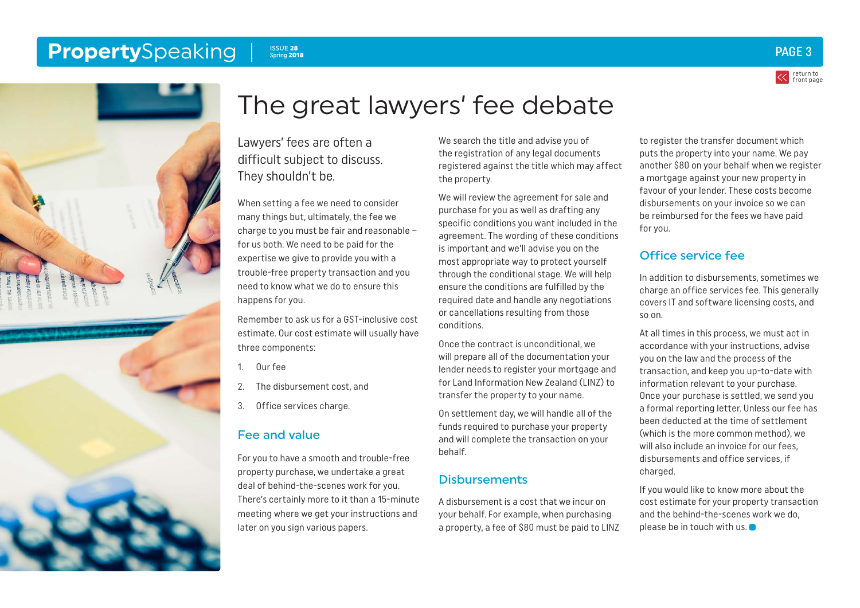#### <span id="page-2-0"></span>**Property**Speaking Issue 28 Spring 2018





# The great lawyers' fee debate

Lawyers' fees are often a difficult subject to discuss. They shouldn't be.

When setting a fee we need to consider many things but, ultimately, the fee we charge to you must be fair and reasonable – for us both. We need to be paid for the expertise we give to provide you with a trouble-free property transaction and you need to know what we do to ensure this happens for you.

Remember to ask us for a GST-inclusive cost estimate. Our cost estimate will usually have three components:

- 1. Our fee
- 2. The disbursement cost, and
- 3. Office services charge.

#### Fee and value

For you to have a smooth and trouble-free property purchase, we undertake a great deal of behind-the-scenes work for you. There's certainly more to it than a 15-minute meeting where we get your instructions and later on you sign various papers.

We search the title and advise you of the registration of any legal documents registered against the title which may affect the property.

We will review the agreement for sale and purchase for you as well as drafting any specific conditions you want included in the agreement. The wording of these conditions is important and we'll advise you on the most appropriate way to protect yourself through the conditional stage. We will help ensure the conditions are fulfilled by the required date and handle any negotiations or cancellations resulting from those conditions.

Once the contract is unconditional, we will prepare all of the documentation your lender needs to register your mortgage and for Land Information New Zealand (LINZ) to transfer the property to your name.

On settlement day, we will handle all of the funds required to purchase your property and will complete the transaction on your behalf.

#### **Disbursements**

A disbursement is a cost that we incur on your behalf. For example, when purchasing a property, a fee of \$80 must be paid to LINZ to register the transfer document which puts the property into your name. We pay another \$80 on your behalf when we register a mortgage against your new property in favour of your lender. These costs become disbursements on your invoice so we can be reimbursed for the fees we have paid for you.

### Office service fee

In addition to disbursements, sometimes we charge an office services fee. This generally covers IT and software licensing costs, and so on.

At all times in this process, we must act in accordance with your instructions, advise you on the law and the process of the transaction, and keep you up-to-date with information relevant to your purchase. Once your purchase is settled, we send you a formal reporting letter. Unless our fee has been deducted at the time of settlement (which is the more common method), we will also include an invoice for our fees, disbursements and office services, if charged.

If you would like to know more about the cost estimate for your property transaction and the behind-the-scenes work we do, please be in touch with us.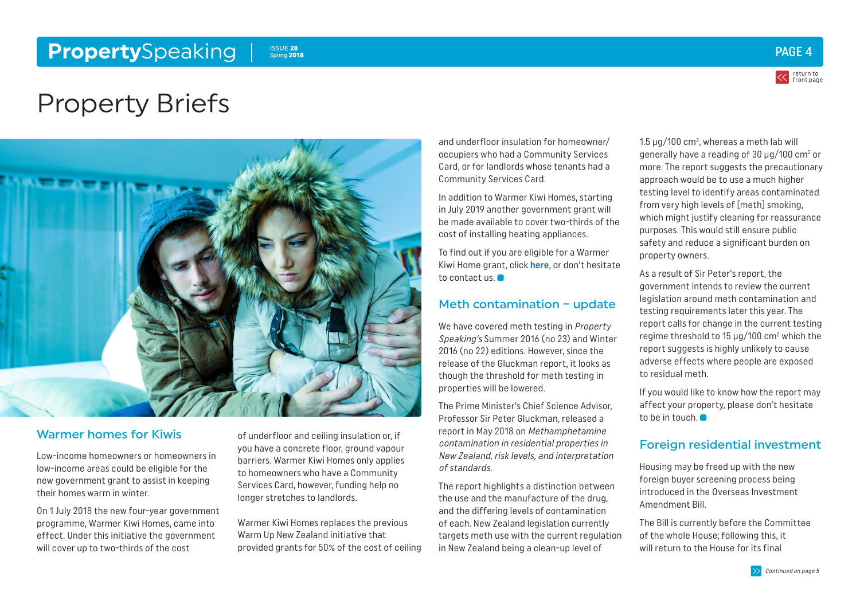#### <span id="page-3-0"></span>**Property**Speaking Issue 28 Spring 2018



return to [front page](#page-0-0)

# Property Briefs



#### Warmer homes for Kiwis

Low-income homeowners or homeowners in low-income areas could be eligible for the new government grant to assist in keeping their homes warm in winter.

On 1 July 2018 the new four-year government programme, Warmer Kiwi Homes, came into effect. Under this initiative the government will cover up to two-thirds of the cost

of underfloor and ceiling insulation or, if you have a concrete floor, ground vapour barriers. Warmer Kiwi Homes only applies to homeowners who have a Community Services Card, however, funding help no longer stretches to landlords.

Warmer Kiwi Homes replaces the previous Warm Up New Zealand initiative that provided grants for 50% of the cost of ceiling

and underfloor insulation for homeowner/ occupiers who had a Community Services Card, or for landlords whose tenants had a Community Services Card.

In addition to Warmer Kiwi Homes, starting in July 2019 another government grant will be made available to cover two-thirds of the cost of installing heating appliances.

To find out if you are eligible for a Warmer Kiwi Home grant, click **[here](https://www.energywise.govt.nz/funding-and-support/funding-for-insulation/)**, or don't hesitate to contact us.

#### Meth contamination – update

We have covered meth testing in Property Speaking's Summer 2016 (no 23) and Winter 2016 (no 22) editions. However, since the release of the Gluckman report, it looks as though the threshold for meth testing in properties will be lowered.

The Prime Minister's Chief Science Advisor, Professor Sir Peter Gluckman, released a report in May 2018 on Methamphetamine contamination in residential properties in New Zealand, risk levels, and interpretation of standards.

The report highlights a distinction between the use and the manufacture of the drug, and the differing levels of contamination of each. New Zealand legislation currently targets meth use with the current regulation in New Zealand being a clean-up level of

1.5  $\mu$ g/100 cm $^2$ , whereas a meth lab will generally have a reading of 30  $\mu$ g/100 cm $^2$  or more. The report suggests the precautionary approach would be to use a much higher testing level to identify areas contaminated from very high levels of [meth] smoking, which might justify cleaning for reassurance purposes. This would still ensure public safety and reduce a significant burden on property owners.

As a result of Sir Peter's report, the government intends to review the current legislation around meth contamination and testing requirements later this year. The report calls for change in the current testing regime threshold to 15 µg/100 cm2 which the report suggests is highly unlikely to cause adverse effects where people are exposed to residual meth.

If you would like to know how the report may affect your property, please don't hesitate to be in touch.

#### Foreign residential investment

Housing may be freed up with the new foreign buyer screening process being introduced in the Overseas Investment Amendment Bill.

The Bill is currently before the Committee of the whole House; following this, it will return to the House for its final